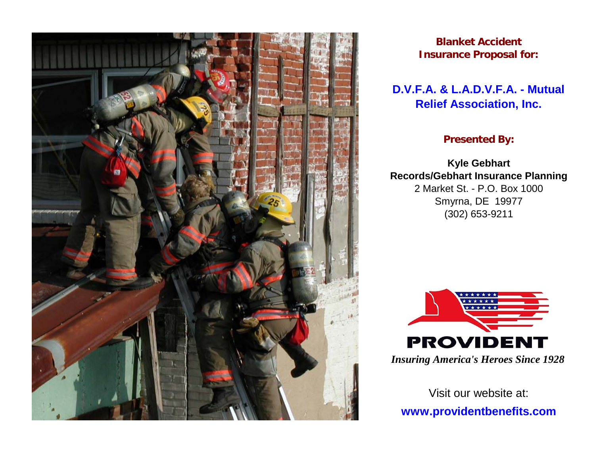

**Blanket Accident Insurance Proposal for:**

# **D.V.F.A. & L.A.D.V.F.A. - Mutual Relief Association, Inc.**

## **Presented By:**

Smyrna, DE 19977 (302) 653-9211 **Kyle Gebhart Records/Gebhart Insurance Planning** 2 Market St. - P.O. Box 1000



*Insuring America's Heroes Since 1928*

Visit our website at:**www.providentbenefits.com**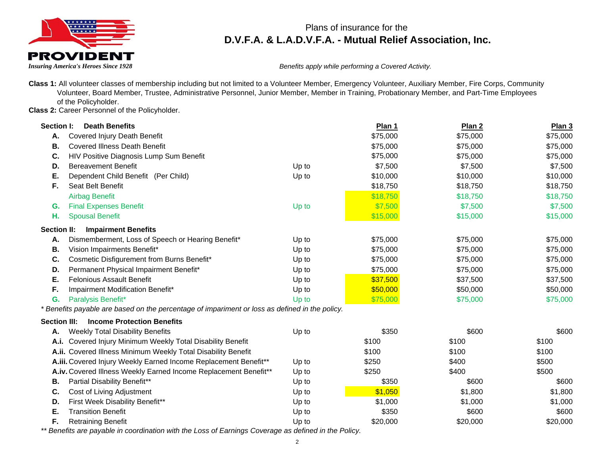

*Insuring America's Heroes Since 1928 Benefits apply while performing a Covered Activity.*

**Class 1:** All volunteer classes of membership including but not limited to a Volunteer Member, Emergency Volunteer, Auxiliary Member, Fire Corps, Community Volunteer, Board Member, Trustee, Administrative Personnel, Junior Member, Member in Training, Probationary Member, and Part-Time Employees of the Policyholder.

**Class 2:** Career Personnel of the Policyholder.

| Section I:          | <b>Death Benefits</b>                                                                          |       | Plan 1   | Plan <sub>2</sub> | Plan <sub>3</sub> |
|---------------------|------------------------------------------------------------------------------------------------|-------|----------|-------------------|-------------------|
| Α.                  | <b>Covered Injury Death Benefit</b>                                                            |       | \$75,000 | \$75,000          | \$75,000          |
| В.                  | <b>Covered Illness Death Benefit</b>                                                           |       | \$75,000 | \$75,000          | \$75,000          |
| C.                  | HIV Positive Diagnosis Lump Sum Benefit                                                        |       | \$75,000 | \$75,000          | \$75,000          |
| D.                  | <b>Bereavement Benefit</b>                                                                     | Up to | \$7,500  | \$7,500           | \$7,500           |
| Е.                  | Dependent Child Benefit (Per Child)                                                            | Up to | \$10,000 | \$10,000          | \$10,000          |
| F.                  | Seat Belt Benefit                                                                              |       | \$18,750 | \$18,750          | \$18,750          |
|                     | <b>Airbag Benefit</b>                                                                          |       | \$18,750 | \$18,750          | \$18,750          |
| G.                  | <b>Final Expenses Benefit</b>                                                                  | Up to | \$7,500  | \$7,500           | \$7,500           |
| Н.                  | <b>Spousal Benefit</b>                                                                         |       | \$15,000 | \$15,000          | \$15,000          |
| <b>Section II:</b>  | <b>Impairment Benefits</b>                                                                     |       |          |                   |                   |
| Α.                  | Dismemberment, Loss of Speech or Hearing Benefit*                                              | Up to | \$75,000 | \$75,000          | \$75,000          |
| В.                  | Vision Impairments Benefit*                                                                    | Up to | \$75,000 | \$75,000          | \$75,000          |
| C.                  | Cosmetic Disfigurement from Burns Benefit*                                                     | Up to | \$75,000 | \$75,000          | \$75,000          |
| D.                  | Permanent Physical Impairment Benefit*                                                         | Up to | \$75,000 | \$75,000          | \$75,000          |
| Е.                  | <b>Felonious Assault Benefit</b>                                                               | Up to | \$37,500 | \$37,500          | \$37,500          |
| F.                  | Impairment Modification Benefit*                                                               | Up to | \$50,000 | \$50,000          | \$50,000          |
| G.                  | Paralysis Benefit*                                                                             | Up to | \$75,000 | \$75,000          | \$75,000          |
|                     | * Benefits payable are based on the percentage of impariment or loss as defined in the policy. |       |          |                   |                   |
| <b>Section III:</b> | <b>Income Protection Benefits</b>                                                              |       |          |                   |                   |
| Α.                  | <b>Weekly Total Disability Benefits</b>                                                        | Up to | \$350    | \$600             | \$600             |
| A.i.                | Covered Injury Minimum Weekly Total Disability Benefit                                         |       | \$100    | \$100             | \$100             |
|                     | A.ii. Covered Illness Minimum Weekly Total Disability Benefit                                  |       | \$100    | \$100             | \$100             |
|                     | A.iii. Covered Injury Weekly Earned Income Replacement Benefit**                               | Up to | \$250    | \$400             | \$500             |
|                     | A.iv. Covered Illness Weekly Earned Income Replacement Benefit**                               | Up to | \$250    | \$400             | \$500             |
| В.                  | Partial Disability Benefit**                                                                   | Up to | \$350    | \$600             | \$600             |
| C.                  | Cost of Living Adjustment                                                                      | Up to | \$1,050  | \$1,800           | \$1,800           |
| D.                  | First Week Disability Benefit**                                                                | Up to | \$1,000  | \$1,000           | \$1,000           |
| Е.                  | <b>Transition Benefit</b>                                                                      | Up to | \$350    | \$600             | \$600             |
| F.                  | <b>Retraining Benefit</b>                                                                      | Up to | \$20,000 | \$20,000          | \$20,000          |

*\*\* Benefits are payable in coordination with the Loss of Earnings Coverage as defined in the Policy.*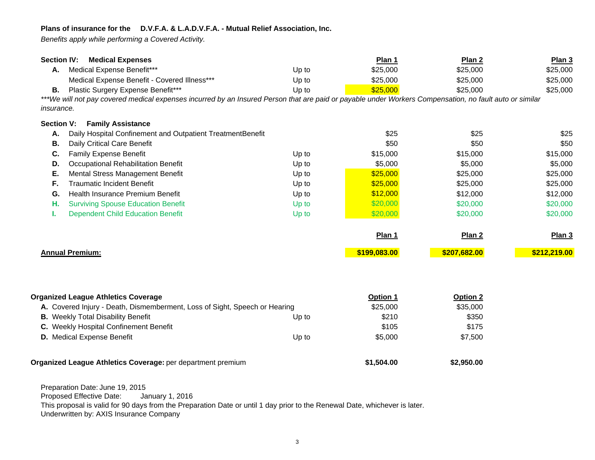*Benefits apply while performing a Covered Activity.*

| <b>Section IV:</b>                                               | <b>Medical Expenses</b>                                                                                                                                 |            | Plan 1       | Plan 2            | Plan 3       |
|------------------------------------------------------------------|---------------------------------------------------------------------------------------------------------------------------------------------------------|------------|--------------|-------------------|--------------|
| А.                                                               | Medical Expense Benefit***                                                                                                                              | Up to      | \$25,000     | \$25,000          | \$25,000     |
|                                                                  | Medical Expense Benefit - Covered Illness***                                                                                                            | Up to      | \$25,000     | \$25,000          | \$25,000     |
| В.                                                               | Plastic Surgery Expense Benefit***                                                                                                                      | Up to      | \$25,000     | \$25,000          | \$25,000     |
|                                                                  | ***We will not pay covered medical expenses incurred by an Insured Person that are paid or payable under Workers Compensation, no fault auto or similar |            |              |                   |              |
| <i>insurance.</i>                                                |                                                                                                                                                         |            |              |                   |              |
| <b>Section V:</b>                                                | <b>Family Assistance</b>                                                                                                                                |            |              |                   |              |
| Daily Hospital Confinement and Outpatient TreatmentBenefit<br>Α. |                                                                                                                                                         |            | \$25         | \$25              | \$25         |
| В.                                                               | Daily Critical Care Benefit                                                                                                                             |            | \$50         | \$50              | \$50         |
| C.                                                               | <b>Family Expense Benefit</b>                                                                                                                           | Up to      | \$15,000     | \$15,000          | \$15,000     |
| D.                                                               | Occupational Rehabilitation Benefit                                                                                                                     | Up to      | \$5,000      | \$5,000           | \$5,000      |
| Е.                                                               | Mental Stress Management Benefit                                                                                                                        | Up to      | \$25,000     | \$25,000          | \$25,000     |
| F.                                                               | <b>Traumatic Incident Benefit</b>                                                                                                                       | Up to      | \$25,000     | \$25,000          | \$25,000     |
| G.                                                               | Health Insurance Premium Benefit                                                                                                                        | Up to      | \$12,000     | \$12,000          | \$12,000     |
| н.                                                               | <b>Surviving Spouse Education Benefit</b>                                                                                                               | Up to      | \$20,000     | \$20,000          | \$20,000     |
| ı.                                                               | <b>Dependent Child Education Benefit</b>                                                                                                                | Up to      | \$20,000     | \$20,000          | \$20,000     |
|                                                                  |                                                                                                                                                         |            | Plan 1       | Plan <sub>2</sub> | Plan 3       |
| <b>Annual Premium:</b>                                           |                                                                                                                                                         |            | \$199,083.00 | \$207,682.00      | \$212,219.00 |
|                                                                  |                                                                                                                                                         |            |              |                   |              |
| <b>Organized League Athletics Coverage</b>                       |                                                                                                                                                         |            | Option 1     | Option 2          |              |
|                                                                  | A. Covered Injury - Death, Dismemberment, Loss of Sight, Speech or Hearing                                                                              |            | \$25,000     | \$35,000          |              |
|                                                                  | <b>B.</b> Weekly Total Disability Benefit                                                                                                               | Up to      | \$210        | \$350             |              |
|                                                                  | C. Weekly Hospital Confinement Benefit                                                                                                                  |            | \$105        | \$175             |              |
|                                                                  | D. Medical Expense Benefit                                                                                                                              | Up to      | \$5,000      | \$7,500           |              |
|                                                                  | Organized League Athletics Coverage: per department premium                                                                                             | \$1,504.00 | \$2,950.00   |                   |              |
|                                                                  |                                                                                                                                                         |            |              |                   |              |

Preparation Date: June 19, 2015 Proposed Effective Date: January 1, 2016 This proposal is valid for 90 days from the Preparation Date or until 1 day prior to the Renewal Date, whichever is later. Underwritten by: AXIS Insurance Compan y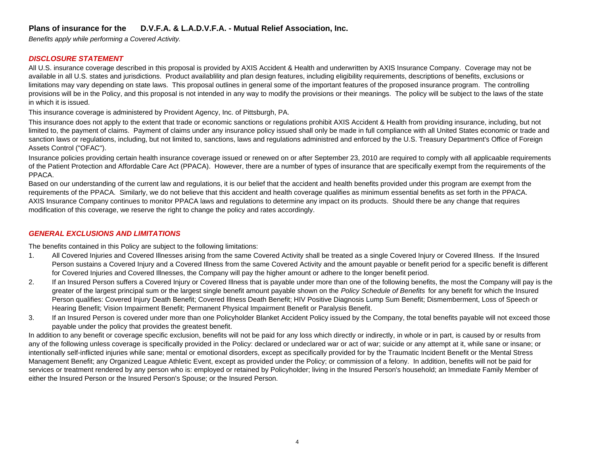*Benefits apply while performing a Covered Activity.*

## *DISCLOSURE STATEMENT*

All U.S. insurance coverage described in this proposal is provided by AXIS Accident & Health and underwritten by AXIS Insurance Company. Coverage may not be available in all U.S. states and jurisdictions. Product availablility and plan design features, including eligibility requirements, descriptions of benefits, exclusions or limitations may vary depending on state laws. This proposal outlines in general some of the important features of the proposed insurance program. The controlling provisions will be in the Policy, and this proposal is not intended in any way to modify the provisions or their meanings. The policy will be subject to the laws of the state in which it is issued.

This insurance coverage is administered by Provident Agency, Inc. of Pittsburgh, PA.

This insurance does not apply to the extent that trade or economic sanctions or regulations prohibit AXIS Accident & Health from providing insurance, including, but not limited to, the payment of claims. Payment of claims under any insurance policy issued shall only be made in full compliance with all United States economic or trade and sanction laws or regulations, including, but not limited to, sanctions, laws and regulations administred and enforced by the U.S. Treasury Department's Office of Foreign Assets Control ("OFAC").

Insurance policies providing certain health insurance coverage issued or renewed on or after September 23, 2010 are required to comply with all applicaable requirements of the Patient Protection and Affordable Care Act (PPACA). However, there are a number of types of insurance that are specifically exempt from the requirements of the PPACA.

Based on our understanding of the current law and regulations, it is our belief that the accident and health benefits provided under this program are exempt from the requirements of the PPACA. Similarly, we do not believe that this accident and health coverage qualifies as minimum essential benefits as set forth in the PPACA. AXIS Insurance Company continues to monitor PPACA laws and regulations to determine any impact on its products. Should there be any change that requires modification of this coverage, we reserve the right to change the policy and rates accordingly.

## *GENERAL EXCLUSIONS AND LIMITATIONS*

The benefits contained in this Policy are subject to the following limitations:

- 1.Person sustains a Covered Injury and a Covered Illness from the same Covered Activity and the amount payable or benefit period for a specific benefit is different for Covered Injuries and Covered Illnesses, the Company will pay the higher amount or adhere to the longer benefit period. All Covered Injuries and Covered Illnesses arising from the same Covered Activity shall be treated as a single Covered Injury or Covered Illness. If the Insured
- 2.If an Insured Person suffers a Covered Injury or Covered Illness that is payable under more than one of the following benefits, the most the Company will pay is the greater of the largest principal sum or the largest single benefit amount payable shown on the *Policy Schedule of Benefits* for any benefit for which the Insured Person qualifies: Covered Injury Death Benefit; Covered Illness Death Benefit; HIV Positive Diagnosis Lump Sum Benefit; Dismemberment, Loss of Speech or Hearing Benefit; Vision Impairment Benefit; Permanent Physical Impairment Benefit or Paralysis Benefit.
- 3.If an Insured Person is covered under more than one Policyholder Blanket Accident Policy issued by the Company, the total benefits payable will not exceed those payable under the policy that provides the greatest benefit.

In addition to any benefit or coverage specific exclusion, benefits will not be paid for any loss which directly or indirectly, in whole or in part, is caused by or results from any of the following unless coverage is specifically provided in the Policy: declared or undeclared war or act of war; suicide or any attempt at it, while sane or insane; or intentionally self-inflicted injuries while sane; mental or emotional disorders, except as specifically provided for by the Traumatic Incident Benefit or the Mental Stress Management Benefit; any Organized League Athletic Event, except as provided under the Policy; or commission of a felony. In addition, benefits will not be paid for services or treatment rendered by any person who is: employed or retained by Policyholder; living in the Insured Person's household; an Immediate Family Member of either the Insured Person or the Insured Person's Spouse; or the Insured Person.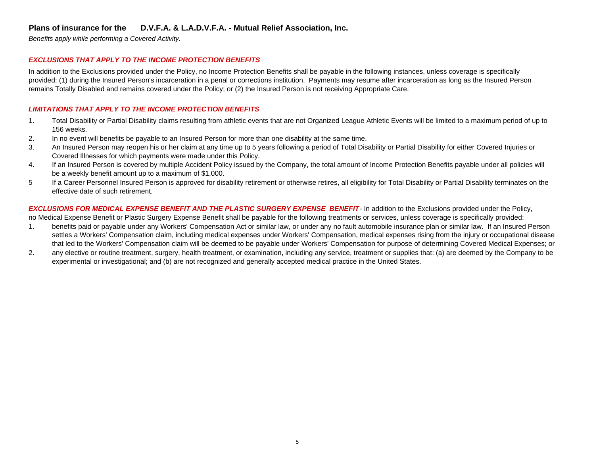*Benefits apply while performing a Covered Activity.*

#### *EXCLUSIONS THAT APPLY TO THE INCOME PROTECTION BENEFITS*

In addition to the Exclusions provided under the Policy, no Income Protection Benefits shall be payable in the following instances, unless coverage is specifically provided: (1) during the Insured Person's incarceration in a penal or corrections institution. Payments may resume after incarceration as long as the Insured Person remains Totally Disabled and remains covered under the Policy; or (2) the Insured Person is not receiving Appropriate Care.

#### *LIMITATIONS THAT APPLY TO THE INCOME PROTECTION BENEFITS*

- 1.156 weeks.Total Disability or Partial Disability claims resulting from athletic events that are not Organized League Athletic Events will be limited to a maximum period of up to
- 2.In no event will benefits be payable to an Insured Person for more than one disability at the same time.
- 3.Covered Illnesses for which payments were made under this Policy. An Insured Person may reopen his or her claim at any time up to 5 years following a period of Total Disability or Partial Disability for either Covered Injuries or
- 4.If an Insured Person is covered by multiple Accident Policy issued by the Company, the total amount of Income Protection Benefits payable under all policies will be a weekly benefit amount up to a maximum of \$1,000.
- 5If a Career Personnel Insured Person is approved for disability retirement or otherwise retires, all eligibility for Total Disability or Partial Disability terminates on the effective date of such retirement.

*EXCLUSIONS FOR MEDICAL EXPENSE BENEFIT AND THE PLASTIC SURGERY EXPENSE BENEFIT*- In addition to the Exclusions provided under the Policy, no Medical Expense Benefit or Plastic Surgery Expense Benefit shall be payable for the following treatments or services, unless coverage is specifically provided:

- 1.benefits paid or payable under any Workers' Compensation Act or similar law, or under any no fault automobile insurance plan or similar law. If an Insured Person settles a Workers' Compensation claim, including medical expenses under Workers' Compensation, medical expenses rising from the injury or occupational disease that led to the Workers' Compensation claim will be deemed to be payable under Workers' Compensation for purpose of determining Covered Medical Expenses; or
- 2.any elective or routine treatment, surgery, health treatment, or examination, including any service, treatment or supplies that: (a) are deemed by the Company to be experimental or investigational; and (b) are not recognized and generally accepted medical practice in the United States.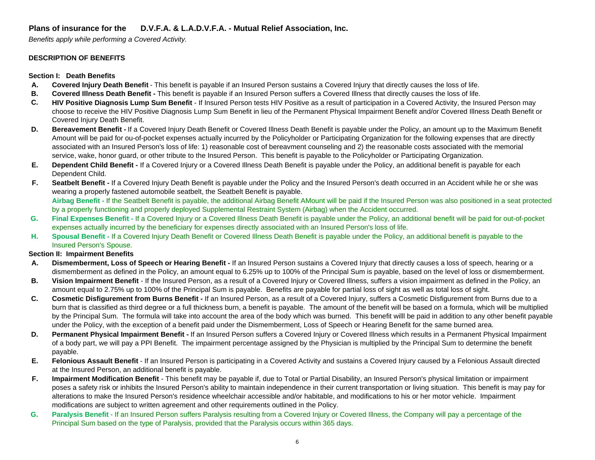*Benefits apply while performing a Covered Activity.*

#### **DESCRIPTION OF BENEFITS**

**Section I: Death Benefits**

- **A.Covered Injury Death Benefit** - This benefit is payable if an Insured Person sustains a Covered Injury that directly causes the loss of life.
- **B.Covered Illness Death Benefit -** This benefit is payable if an Insured Person suffers a Covered Illness that directly causes the loss of life.
- **C.HIV Positive Diagnosis Lump Sum Benefit** - If Insured Person tests HIV Positive as a result of participation in a Covered Activity, the Insured Person may choose to receive the HIV Positive Diagnosis Lump Sum Benefit in lieu of the Permanent Physical Impairment Benefit and/or Covered Illness Death Benefit or Covered Injury Death Benefit.
- **D.Bereavement Benefit -** If a Covered Injury Death Benefit or Covered Illness Death Benefit is payable under the Policy, an amount up to the Maximum Benefit Amount will be paid for ou-of-pocket expenses actually incurred by the Policyholder or Participating Organization for the following expenses that are directly associated with an Insured Person's loss of life: 1) reasonable cost of bereavment counseling and 2) the reasonable costs associated with the memorial service, wake, honor guard, or other tribute to the Insured Person. This benefit is payable to the Policyholder or Participating Organization.
- **E.Dependent Child Benefit -** If a Covered Injury or a Covered Illness Death Benefit is payable under the Policy, an additional benefit is payable for each Dependent Child.
- **F.Airbag Benefit -** If the Seatbelt Benefit is payable, the additional Airbag Benefit AMount will be paid if the Insured Person was also positioned in a seat protected by a properly functioning and properly deployed Supplemental Restraint System (Airbag) when the Accident occurred. Seatbelt Benefit - If a Covered Injury Death Benefit is payable under the Policy and the Insured Person's death occurred in an Accident while he or she was wearing a properly fastened automobile seatbelt, the Seatbelt Benefit is payable.
- **G.**Final Expenses Benefit - If a Covered Injury or a Covered Illness Death Benefit is payable under the Policy, an additional benefit will be paid for out-of-pocket expenses actually incurred by the beneficiary for expenses directly associated with an Insured Person's loss of life.
- **H.Spousal Benefit -** If a Covered Injury Death Benefit or Covered Illness Death Benefit is payable under the Policy, an additional benefit is payable to the Insured Person's Spouse.

#### **Section II: Impairment Benefits**

- **A.Dismemberment, Loss of Speech or Hearing Benefit -** If an Insured Person sustains a Covered Injury that directly causes a loss of speech, hearing or a dismemberment as defined in the Policy, an amount equal to 6.25% up to 100% of the Principal Sum is payable, based on the level of loss or dismemberment.
- **B.Vision Impairment Benefit** - If the Insured Person, as a result of a Covered Injury or Covered Illness, suffers a vision impairment as defined in the Policy, an amount equal to 2.75% up to 100% of the Principal Sum is payable. Benefits are payable for partial loss of sight as well as total loss of sight.
- **C.Cosmetic Disfigurement from Burns Benefit -** If an Insured Person, as a result of a Covered Injury, suffers a Cosmetic Disfigurement from Burns due to a burn that is classified as third degree or a full thickness burn, a benefit is payable. The amount of the benefit will be based on a formula, which will be multiplied by the Principal Sum. The formula will take into account the area of the body which was burned. This benefit willl be paid in addition to any other benefit payable under the Policy, with the exception of a benefit paid under the Dismemberment, Loss of Speech or Hearing Benefit for the same burned area.
- **D.**Permanent Physical Impairment Benefit - If an Insured Person suffers a Covered Injury or Covered Illness which results in a Permanent Physical Impairment of a body part, we will pay a PPI Benefit. The impairment percentage assigned by the Physician is multiplied by the Principal Sum to determine the benefit payable.
- **E. Felonious Assault Benefit** - If an Insured Person is participating in a Covered Activity and sustains a Covered Injury caused by a Felonious Assault directed at the Insured Person, an additional benefit is payable.
- **F.Impairment Modification Benefit** - This benefit may be payable if, due to Total or Partial Disability, an Insured Person's physical limitation or impairment poses a safety risk or inhibits the Insured Person's ability to maintain independence in their current transportation or living situation. This benefit is may pay for alterations to make the Insured Person's residence wheelchair accessible and/or habitable, and modifications to his or her motor vehicle. Impairment modifications are subject to written agreement and other requirements outlined in the Policy.
- **G.Paralysis Benefit** - If an Insured Person suffers Paralysis resulting from a Covered Injury or Covered Illness, the Company will pay a percentage of the Principal Sum based on the type of Paralysis, provided that the Paralysis occurs within 365 days.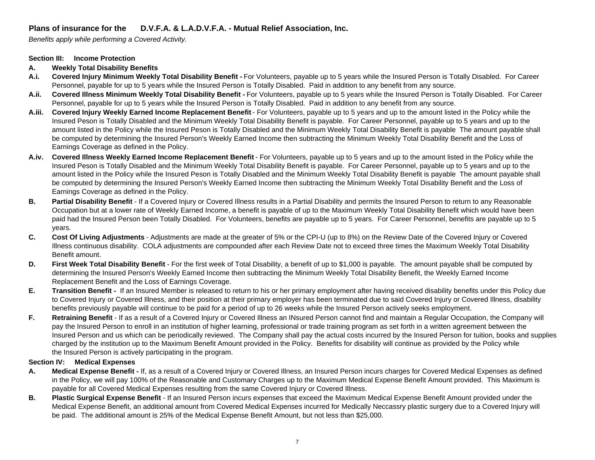*Benefits apply while performing a Covered Activity.*

#### **Section III: Income Protection**

#### **A. Weekly Total Disability Benefits**

- **A.i.Covered Injury Minimum Weekly Total Disability Benefit -** For Volunteers, payable up to 5 years while the Insured Person is Totally Disabled. For Career Personnel, payable for up to 5 years while the Insured Person is Totally Disabled. Paid in addition to any benefit from any source.
- **A.ii.Covered Illness Minimum Weekly Total Disability Benefit -** For Volunteers, payable up to 5 years while the Insured Person is Totally Disabled. For Career Personnel, payable for up to 5 years while the Insured Person is Totally Disabled. Paid in addition to any benefit from any source.
- **Covered Injury Weekly Earned Income Replacement Benefit** For Volunteers, payable up to 5 years and up to the amount listed in the Policy while the **A.iii.** Insured Peson is Totally Disabled and the Minimum Weekly Total Disability Benefit is payable. For Career Personnel, payable up to 5 years and up to the amount listed in the Policy while the Insured Peson is Totally Disabled and the Minimum Weekly Total Disability Benefit is payable The amount payable shall be computed by determining the Insured Person's Weekly Earned Income then subtracting the Minimum Weekly Total Disability Benefit and the Loss of Earnings Coverage as defined in the Policy.
- **Covered Illness Weekly Earned Income Replacement Benefit** For Volunteers, payable up to 5 years and up to the amount listed in the Policy while the **A.iv.** Insured Peson is Totally Disabled and the Minimum Weekly Total Disability Benefit is payable. For Career Personnel, payable up to 5 years and up to the amount listed in the Policy while the Insured Peson is Totally Disabled and the Minimum Weekly Total Disability Benefit is payable The amount payable shall be computed by determining the Insured Person's Weekly Earned Income then subtracting the Minimum Weekly Total Disability Benefit and the Loss of Earnings Coverage as defined in the Policy.
- **B.** Partial Disability Benefit If a Covered Injury or Covered Illness results in a Partial Disability and permits the Insured Person to return to any Reasonable Occupation but at a lower rate of Weekly Earned Income, a benefit is payable of up to the Maximum Weekly Total Disability Benefit which would have been paid had the Insured Person been Totally Disabled. For Volunteers, benefits are payable up to 5 years. For Career Personnel, benefits are payable up to 5 years.
- **C. Cost Of Living Adjustments** - Adjustments are made at the greater of 5% or the CPI-U (up to 8%) on the Review Date of the Covered Injury or Covered Illness continuous disability. COLA adjustments are compounded after each Review Date not to exceed three times the Maximum Weekly Total Disability Benefit amount.
- **D.First Week Total Disability Benefit** - For the first week of Total Disability, a benefit of up to \$1,000 is payable. The amount payable shall be computed by determining the Insured Person's Weekly Earned Income then subtracting the Minimum Weekly Total Disability Benefit, the Weekly Earned Income Replacement Benefit and the Loss of Earnings Coverage.
- **E.Transition Benefit -** If an Insured Member is released to return to his or her primary employment after having received disability benefits under this Policy due to Covered Injury or Covered Illness, and their position at their primary employer has been terminated due to said Covered Injury or Covered Illness, disability benefits previously payable will continue to be paid for a period of up to 26 weeks while the Insured Person actively seeks employment.
- **F.Retraining Benefit** - If as a result of a Covered Injury or Covered Illness an INsured Person cannot find and maintain a Regular Occupation, the Company will pay the Insured Person to enroll in an institution of higher learning, professional or trade training program as set forth in a written agreement between the Insured Person and us which can be periodically reviewed. The Company shall pay the actual costs incurred by the Insured Person for tuition, books and supplies charged by the institution up to the Maximum Benefit Amount provided in the Policy. Benefits for disability will continue as provided by the Policy while the Insured Person is actively participating in the program.

#### **Section IV: Medical Expenses**

- **A.Medical Expense Benefit -** If, as a result of a Covered Injury or Covered Illness, an Insured Person incurs charges for Covered Medical Expenses as defined in the Policy, we will pay 100% of the Reasonable and Customary Charges up to the Maximum Medical Expense Benefit Amount provided. This Maximum is payable for all Covered Medical Expenses resulting from the same Covered Injury or Covered Illness.
- **B.Plastic Surgical Expense Benefit** - If an Insured Person incurs expenses that exceed the Maximum Medical Expense Benefit Amount provided under the Medical Expense Benefit, an additional amount from Covered Medical Expenses incurred for Medically Neccassry plastic surgery due to a Covered Injury will be paid. The additional amount is 25% of the Medical Expense Benefit Amount, but not less than \$25,000.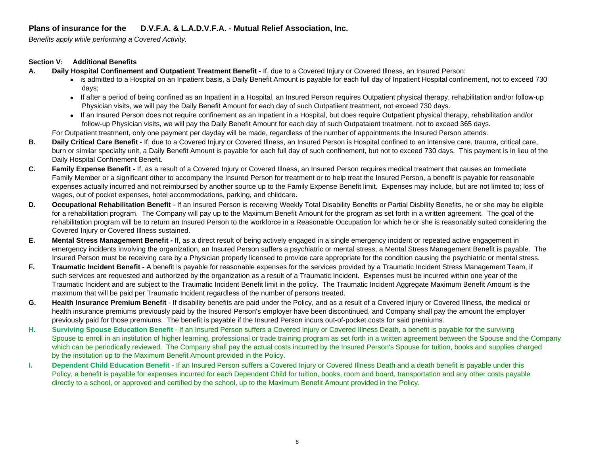*Benefits apply while performing a Covered Activity.*

#### **Section V: Additional Benefits**

- **A.Daily Hospital Confinement and Outpatient Treatment Benefit** - If, due to a Covered Injury or Covered Illness, an Insured Person:
	- is admitted to a Hospital on an Inpatient basis, a Daily Benefit Amount is payable for each full day of Inpatient Hospital confinement, not to exceed 730 days;
	- If after a period of being confined as an Inpatient in a Hospital, an Insured Person requires Outpatient physical therapy, rehabilitation and/or follow-up Physician visits, we will pay the Daily Benefit Amount for each day of such Outpatiient treatment, not exceed 730 days.
	- If an Insured Person does not require confinement as an Inpatient in a Hospital, but does require Outpatient physical therapy, rehabilitation and/or follow-up Physician visits, we will pay the Daily Benefit Amount for each day of such Outpataient treatment, not to exceed 365 days.

For Outpatient treatment, only one payment per dayday will be made, regardless of the number of appointments the Insured Person attends.

- **B.Daily Critical Care Benefit** - If, due to a Covered Injury or Covered Illness, an Insured Person is Hospital confined to an intensive care, trauma, critical care, burn or similar specialty unit, a Daily Benefit Amount is payable for each full day of such confinement, but not to exceed 730 days. This payment is in lieu of the Daily Hospital Confinement Benefit.
- **C.Family Expense Benefit -** If, as a result of a Covered Injury or Covered Illness, an Insured Person requires medical treatment that causes an Immediate Family Member or a significant other to accompany the Insured Person for treatment or to help treat the Insured Person, a benefit is payable for reasonable expenses actually incurred and not reimbursed by another source up to the Family Expense Benefit limit. Expenses may include, but are not limited to; loss of wages, out of pocket expenses, hotel accommodations, parking, and childcare.
- **D.Occupational Rehabilitation Benefit** - If an Insured Person is receiving Weekly Total Disability Benefits or Partial Disbility Benefits, he or she may be eligible for a rehabilitation program. The Company will pay up to the Maximum Benefit Amount for the program as set forth in a written agreement. The goal of the rehabilitation program will be to return an Insured Person to the workforce in a Reasonable Occupation for which he or she is reasonably suited considering the Covered Injury or Covered Illness sustained.
- **E.Mental Stress Management Benefit -** If, as a direct result of being actively engaged in a single emergency incident or repeated active engagement in emergency incidents involving the organization, an Insured Person suffers a psychiatric or mental stress, a Mental Stress Management Benefit is payable. The Insured Person must be receiving care by a Physician properly licensed to provide care appropriate for the condition causing the psychiatric or mental stress.
- **F. Traumatic Incident Benefit** - A benefit is payable for reasonable expenses for the services provided by a Traumatic Incident Stress Management Team, if such services are requested and authorized by the organization as a result of a Traumatic Incident. Expenses must be incurred within one year of the Traumatic Incident and are subject to the Traumatic Incident Benefit limit in the policy. The Traumatic Incident Aggregate Maximum Benefit Amount is the maximum that will be paid per Traumatic Incident regardless of the number of persons treated.
- **G.Health Insurance Premium Benefit** - If disability benefits are paid under the Policy, and as a result of a Covered Injury or Covered Illness, the medical or health insurance premiums previously paid by the Insured Person's employer have been discontinued, and Company shall pay the amount the employer previously paid for those premiums. The benefit is payable if the Insured Person incurs out-of-pocket costs for said premiums.
- **H.Surviving Spouse Education Benefit** - If an Insured Person suffers a Covered Injury or Covered Illness Death, a benefit is payable for the surviving Spouse to enroll in an institution of higher learning, professional or trade training program as set forth in a written agreement between the Spouse and the Company which can be periodically reviewed. The Company shall pay the actual costs incurred by the Insured Person's Spouse for tuition, books and supplies charged by the institution up to the Maximum Benefit Amount provided in the Policy.
- **I. Dependent Child Education Benefit** - If an Insured Person suffers a Covered Injury or Covered Illness Death and a death benefit is payable under this Policy, a benefit is payable for expenses incurred for each Dependent Child for tuition, books, room and board, transportation and any other costs payable directly to a school, or approved and certified by the school, up to the Maximum Benefit Amount provided in the Policy.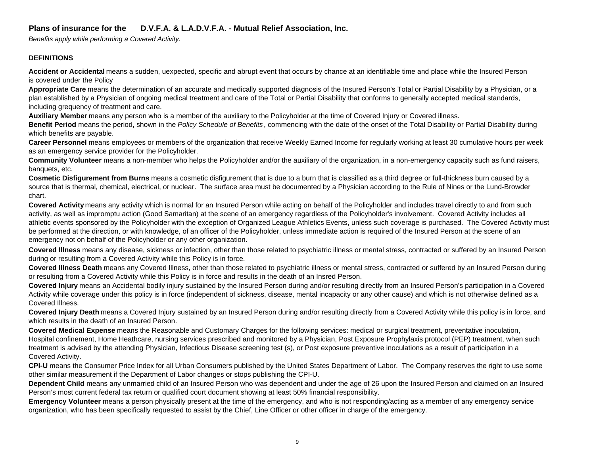*Benefits apply while performing a Covered Activity.*

#### **DEFINITIONS**

**Accident or Accidental** means a sudden, uexpected, specific and abrupt event that occurs by chance at an identifiable time and place while the Insured Person is covered under the Policy

**Appropriate Care** means the determination of an accurate and medically supported diagnosis of the Insured Person's Total or Partial Disability by a Physician, or a plan established by a Physician of ongoing medical treatment and care of the Total or Partial Disability that conforms to generally accepted medical standards, including grequency of treatment and care.

**Auxiliary Member** means any person who is a member of the auxiliary to the Policyholder at the time of Covered Injury or Covered illness.

**Benefit Period** means the period, shown in the *Policy Schedule of Benefits* , commencing with the date of the onset of the Total Disability or Partial Disability during which benefits are payable.

**Career Personnel** means employees or members of the organization that receive Weekly Earned Income for regularly working at least 30 cumulative hours per week as an emergency service provider for the Policyholder.

**Community Volunteer** means a non-member who helps the Policyholder and/or the auxiliary of the organization, in a non-emergency capacity such as fund raisers, banquets, etc.

**Cosmetic Disfigurement from Burns** means a cosmetic disfigurement that is due to a burn that is classified as a third degree or full-thickness burn caused by a source that is thermal, chemical, electrical, or nuclear. The surface area must be documented by a Physician according to the Rule of Nines or the Lund-Browder chart.

**Covered Activity** means any activity which is normal for an Insured Person while acting on behalf of the Policyholder and includes travel directly to and from such activity, as well as impromptu action (Good Samaritan) at the scene of an emergency regardless of the Policyholder's involvement. Covered Activity includes all athletic events sponsored by the Policyholder with the exception of Organized League Athletics Events, unless such coverage is purchased. The Covered Activity must be performed at the direction, or with knowledge, of an officer of the Policyholder, unless immediate action is required of the Insured Person at the scene of an emergency not on behalf of the Policyholder or any other organization.

**Covered Illness** means any disease, sickness or infection, other than those related to psychiatric illness or mental stress, contracted or suffered by an Insured Person during or resulting from a Covered Activity while this Policy is in force.

**Covered Illness Death** means any Covered Illness, other than those related to psychiatric illness or mental stress, contracted or suffered by an Insured Person during or resulting from a Covered Activity while this Policy is in force and results in the death of an Insred Person.

**Covered Injury** means an Accidental bodily injury sustained by the Insured Person during and/or resulting directly from an Insured Person's participation in a Covered Activity while coverage under this policy is in force (independent of sickness, disease, mental incapacity or any other cause) and which is not otherwise defined as a Covered Illness.

**Covered Injury Death** means a Covered Injury sustained by an Insured Person during and/or resulting directly from a Covered Activity while this policy is in force, and which results in the death of an Insured Person.

**Covered Medical Expense** means the Reasonable and Customary Charges for the following services: medical or surgical treatment, preventative inoculation, Hospital confinement, Home Heathcare, nursing services prescribed and monitored by a Physician, Post Exposure Prophylaxis protocol (PEP) treatment, when such treatment is advised by the attending Physician, Infectious Disease screening test (s), or Post exposure preventive inoculations as a result of participation in a Covered Activity.

**CPI-U** means the Consumer Price Index for all Urban Consumers published by the United States Department of Labor. The Company reserves the right to use some other similar measurement if the Department of Labor changes or stops publishing the CPI-U.

**Dependent Child** means any unmarried child of an Insured Person who was dependent and under the age of 26 upon the Insured Person and claimed on an Insured Person's most current federal tax return or qualified court document showing at least 50% financial responsibility.

**Emergency Volunteer** means a person physically present at the time of the emergency, and who is not responding/acting as a member of any emergency service organization, who has been specifically requested to assist by the Chief, Line Officer or other officer in charge of the emergency.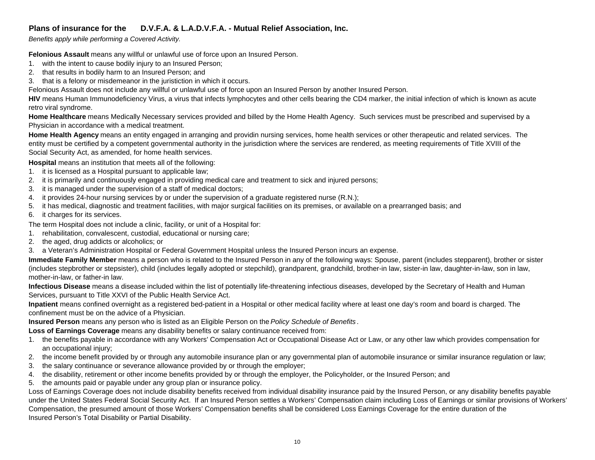*Benefits apply while performing a Covered Activity.*

**Felonious Assault** means any willful or unlawful use of force upon an Insured Person.

- 1. with the intent to cause bodily injury to an Insured Person;
- 2. that results in bodily harm to an Insured Person; and
- 3. that is a felony or misdemeanor in the juristiction in which it occurs.

Felonious Assault does not include any willful or unlawful use of force upon an Insured Person by another Insured Person.

**HIV** means Human Immunodeficiency Virus, a virus that infects lymphocytes and other cells bearing the CD4 marker, the initial infection of which is known as acute retro viral syndrome.

**Home Healthcare** means Medically Necessary services provided and billed by the Home Health Agency. Such services must be prescribed and supervised by a Physician in accordance with a medical treatment.

**Home Health Agency** means an entity engaged in arranging and providin nursing services, home health services or other therapeutic and related services. The entity must be certified by a competent governmental authority in the jurisdiction where the services are rendered, as meeting requirements of Title XVIII of the Social Security Act, as amended, for home health services.

**Hospital** means an institution that meets all of the following:

- 1. it is licensed as a Hospital pursuant to applicable law;
- 2. it is primarily and continuously engaged in providing medical care and treatment to sick and injured persons;
- 3. it is managed under the supervision of a staff of medical doctors;
- 4. it provides 24-hour nursing services by or under the supervision of a graduate registered nurse (R.N.);
- 5. it has medical, diagnostic and treatment facilities, with major surgical facilities on its premises, or available on a prearranged basis; and
- 6. it charges for its services.

The term Hospital does not include a clinic, facility, or unit of a Hospital for:

- 1. rehabilitation, convalescent, custodial, educational or nursing care;
- 2. the aged, drug addicts or alcoholics; or
- 3. a Veteran's Administration Hospital or Federal Government Hospital unless the Insured Person incurs an expense.

**Immediate Family Member** means a person who is related to the Insured Person in any of the following ways: Spouse, parent (includes stepparent), brother or sister (includes stepbrother or stepsister), child (includes legally adopted or stepchild), grandparent, grandchild, brother-in law, sister-in law, daughter-in-law, son in law, mother-in-law, or father-in law.

**Infectious Disease** means a disease included within the list of potentially life-threatening infectious diseases, developed by the Secretary of Health and Human Services, pursuant to Title XXVI of the Public Health Service Act.

**Inpatient** means confined overnight as a registered bed-patient in a Hospital or other medical facility where at least one day's room and board is charged. The confinement must be on the advice of a Physician.

**Insured Person** means any person who is listed as an Eligible Person on the *Policy Schedule of Benefits* .

**Loss of Earnings Coverage** means any disability benefits or salary continuance received from:

- 1. the benefits payable in accordance with any Workers' Compensation Act or Occupational Disease Act or Law, or any other law which provides compensation for an occupational injury;
- 2. the income benefit provided by or through any automobile insurance plan or any governmental plan of automobile insurance or similar insurance regulation or law;
- 3. the salary continuance or severance allowance provided by or through the employer;
- 4. the disability, retirement or other income benefits provided by or through the employer, the Policyholder, or the Insured Person; and
- 5. the amounts paid or payable under any group plan or insurance policy.

Loss of Earnings Coverage does not include disability benefits received from individual disability insurance paid by the Insured Person, or any disability benefits payable under the United States Federal Social Security Act. If an Insured Person settles a Workers' Compensation claim including Loss of Earnings or similar provisions of Workers' Compensation, the presumed amount of those Workers' Compensation benefits shall be considered Loss Earnings Coverage for the entire duration of the Insured Person's Total Disability or Partial Disability.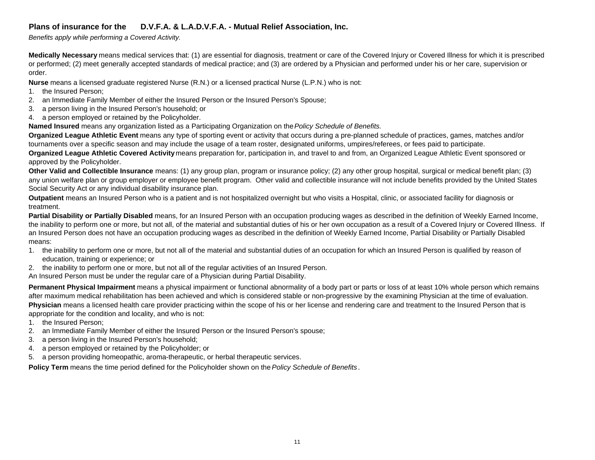*Benefits apply while performing a Covered Activity.*

**Medically Necessary** means medical services that: (1) are essential for diagnosis, treatment or care of the Covered Injury or Covered Illness for which it is prescribed or performed; (2) meet generally accepted standards of medical practice; and (3) are ordered by a Physician and performed under his or her care, supervision or order.

**Nurse** means a licensed graduate registered Nurse (R.N.) or a licensed practical Nurse (L.P.N.) who is not:

- 1. the Insured Person;
- 2. an Immediate Family Member of either the Insured Person or the Insured Person's Spouse;
- 3. a person living in the Insured Person's household; or
- 4. a person employed or retained by the Policyholder.

**Named Insured** means any organization listed as a Participating Organization on the *Policy Schedule of Benefits.*

**Organized League Athletic Event** means any type of sporting event or activity that occurs during a pre-planned schedule of practices, games, matches and/or tournaments over a specific season and may include the usage of a team roster, designated uniforms, umpires/referees, or fees paid to participate.

**Organized League Athletic Covered Activity** means preparation for, participation in, and travel to and from, an Organized League Athletic Event sponsored or approved by the Policyholder.

**Other Valid and Collectible Insurance** means: (1) any group plan, program or insurance policy; (2) any other group hospital, surgical or medical benefit plan; (3) any union welfare plan or group employer or employee benefit program. Other valid and collectible insurance will not include benefits provided by the United States Social Security Act or any individual disability insurance plan.

**Outpatient** means an Insured Person who is a patient and is not hospitalized overnight but who visits a Hospital, clinic, or associated facility for diagnosis or treatment.

**Partial Disability or Partially Disabled** means, for an Insured Person with an occupation producing wages as described in the definition of Weekly Earned Income, the inability to perform one or more, but not all, of the material and substantial duties of his or her own occupation as a result of a Covered Injury or Covered Illness. If an Insured Person does not have an occupation producing wages as described in the definition of Weekly Earned Income, Partial Disability or Partially Disabled means:

- 1. the inability to perform one or more, but not all of the material and substantial duties of an occupation for which an Insured Person is qualified by reason of education, training or experience; or
- 2. the inability to perform one or more, but not all of the regular activities of an Insured Person.

An Insured Person must be under the regular care of a Physician during Partial Disability.

**Permanent Physical Impairment** means a physical impairment or functional abnormality of a body part or parts or loss of at least 10% whole person which remains after maximum medical rehabilitation has been achieved and which is considered stable or non-progressive by the examining Physician at the time of evaluation. **Physician** means a licensed health care provider practicing within the scope of his or her license and rendering care and treatment to the Insured Person that is appropriate for the condition and locality, and who is not:

- 1. the Insured Person;
- 2. an Immediate Family Member of either the Insured Person or the Insured Person's spouse;
- 3. a person living in the Insured Person's household;
- 4. a person employed or retained by the Policyholder; or
- 5. a person providing homeopathic, aroma-therapeutic, or herbal therapeutic services.

**Policy Term** means the time period defined for the Policyholder shown on the *Policy Schedule of Benefits* .